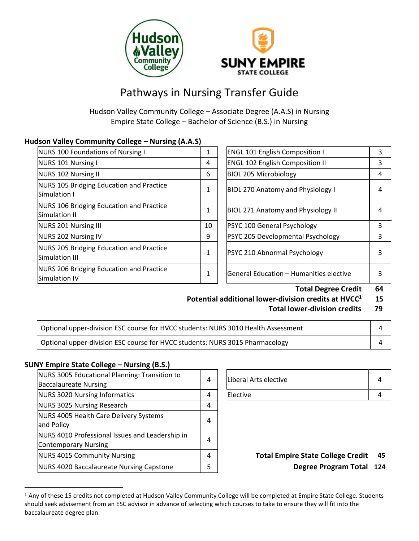



# Pathways in Nursing Transfer Guide

Hudson Valley Community College – Associate Degree (A.A.S) in Nursing Empire State College – Bachelor of Science (B.S.) in Nursing

# **Hudson Valley Community College – Nursing (A.A.S)**

| NURS 100 Foundations of Nursing I                          | 1  | <b>ENGL 101 English Composition I</b>     | 3 |
|------------------------------------------------------------|----|-------------------------------------------|---|
| NURS 101 Nursing I                                         | 4  | <b>ENGL 102 English Composition II</b>    | 3 |
| NURS 102 Nursing II                                        | 6  | <b>BIOL 205 Microbiology</b>              | 4 |
| NURS 105 Bridging Education and Practice<br>Simulation I   | 1  | <b>BIOL 270 Anatomy and Physiology I</b>  | 4 |
| NURS 106 Bridging Education and Practice<br>Simulation II  | 1  | <b>BIOL 271 Anatomy and Physiology II</b> | 4 |
| <b>NURS 201 Nursing III</b>                                | 10 | PSYC 100 General Psychology               | 3 |
| NURS 202 Nursing IV                                        | 9  | <b>PSYC 205 Developmental Psychology</b>  | 3 |
| NURS 205 Bridging Education and Practice<br>Simulation III | 1  | PSYC 210 Abnormal Psychology              | 3 |
| NURS 206 Bridging Education and Practice<br>Simulation IV  | 1  | lGeneral Education – Humanities elective  | 3 |

| <b>ENGL 101 English Composition I</b>    |   |
|------------------------------------------|---|
| <b>ENGL 102 English Composition II</b>   |   |
| <b>BIOL 205 Microbiology</b>             |   |
| <b>BIOL 270 Anatomy and Physiology I</b> | 4 |
| BIOL 271 Anatomy and Physiology II       | 4 |
| PSYC 100 General Psychology              | 3 |
| PSYC 205 Developmental Psychology        | 3 |
| PSYC 210 Abnormal Psychology             |   |
| General Education - Humanities elective  |   |

**Total Degree Credit 64**

- **Potential additional lower-division credits at HVCC<sup>1</sup> 15** 
	- **Total lower-division credits 79**

| Optional upper-division ESC course for HVCC students: NURS 3010 Health Assessment |  |
|-----------------------------------------------------------------------------------|--|
| Optional upper-division ESC course for HVCC students: NURS 3015 Pharmacology      |  |

## **SUNY Empire State College – Nursing (B.S.)**

 $\overline{a}$ 

| NURS 3005 Educational Planning: Transition to<br><b>Baccalaureate Nursing</b>  | 4 | Liberal Arts elective                    | 4               |
|--------------------------------------------------------------------------------|---|------------------------------------------|-----------------|
| NURS 3020 Nursing Informatics                                                  | 4 | Elective                                 | 4               |
| NURS 3025 Nursing Research                                                     | 4 |                                          |                 |
| NURS 4005 Health Care Delivery Systems<br>and Policy                           | 4 |                                          |                 |
| NURS 4010 Professional Issues and Leadership in<br><b>Contemporary Nursing</b> | 4 |                                          |                 |
| NURS 4015 Community Nursing                                                    | 4 | <b>Total Empire State College Credit</b> | - 4             |
| NURS 4020 Baccalaureate Nursing Capstone                                       | 5 | <b>Degree Program Total</b>              | $\overline{12}$ |

| Liberal Arts elective |  |
|-----------------------|--|
| Elective              |  |

Degree Program Total 124

<sup>&</sup>lt;sup>1</sup> Any of these 15 credits not completed at Hudson Valley Community College will be completed at Empire State College. Students should seek advisement from an ESC advisor in advance of selecting which courses to take to ensure they will fit into the baccalaureate degree plan.